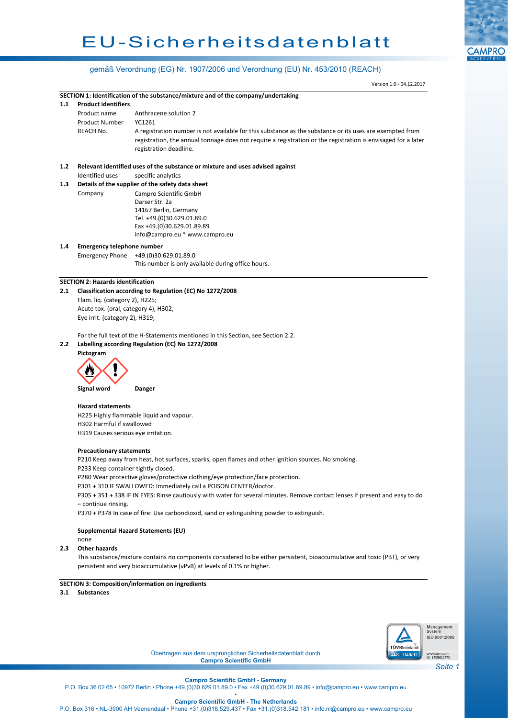# EU-Sicherheitsdatenblatt



# gemäß Verordnung (EG) Nr. 1907/2006 und Verordnung (EU) Nr. 453/2010 (REACH)

|     |                                                                                                                               | Version 1.0 - 04.12.2017                                                                                      |  |  |  |  |
|-----|-------------------------------------------------------------------------------------------------------------------------------|---------------------------------------------------------------------------------------------------------------|--|--|--|--|
|     |                                                                                                                               | SECTION 1: Identification of the substance/mixture and of the company/undertaking                             |  |  |  |  |
| 1.1 | <b>Product identifiers</b>                                                                                                    |                                                                                                               |  |  |  |  |
|     | Product name                                                                                                                  | Anthracene solution 2                                                                                         |  |  |  |  |
|     | <b>Product Number</b>                                                                                                         | YC1261                                                                                                        |  |  |  |  |
|     | REACH No.                                                                                                                     | A registration number is not available for this substance as the substance or its uses are exempted from      |  |  |  |  |
|     |                                                                                                                               | registration, the annual tonnage does not require a registration or the registration is envisaged for a later |  |  |  |  |
|     |                                                                                                                               | registration deadline.                                                                                        |  |  |  |  |
|     |                                                                                                                               |                                                                                                               |  |  |  |  |
| 1.2 | Relevant identified uses of the substance or mixture and uses advised against                                                 |                                                                                                               |  |  |  |  |
|     | Identified uses<br>specific analytics                                                                                         |                                                                                                               |  |  |  |  |
| 1.3 |                                                                                                                               | Details of the supplier of the safety data sheet                                                              |  |  |  |  |
|     | Company                                                                                                                       | Campro Scientific GmbH                                                                                        |  |  |  |  |
|     |                                                                                                                               | Darser Str. 2a                                                                                                |  |  |  |  |
|     |                                                                                                                               | 14167 Berlin, Germany                                                                                         |  |  |  |  |
|     |                                                                                                                               | Tel. +49.(0)30.629.01.89.0<br>Fax +49.(0)30.629.01.89.89                                                      |  |  |  |  |
|     |                                                                                                                               | info@campro.eu * www.campro.eu                                                                                |  |  |  |  |
| 1.4 | <b>Emergency telephone number</b>                                                                                             |                                                                                                               |  |  |  |  |
|     | <b>Emergency Phone</b><br>+49.(0)30.629.01.89.0                                                                               |                                                                                                               |  |  |  |  |
|     |                                                                                                                               | This number is only available during office hours.                                                            |  |  |  |  |
|     |                                                                                                                               |                                                                                                               |  |  |  |  |
|     | <b>SECTION 2: Hazards identification</b>                                                                                      |                                                                                                               |  |  |  |  |
| 2.1 |                                                                                                                               | Classification according to Regulation (EC) No 1272/2008                                                      |  |  |  |  |
|     | Flam. liq. (category 2), H225;                                                                                                |                                                                                                               |  |  |  |  |
|     | Acute tox. (oral, category 4), H302;                                                                                          |                                                                                                               |  |  |  |  |
|     | Eye irrit. (category 2), H319;                                                                                                |                                                                                                               |  |  |  |  |
|     |                                                                                                                               |                                                                                                               |  |  |  |  |
| 2.2 | For the full text of the H-Statements mentioned in this Section, see Section 2.2.                                             |                                                                                                               |  |  |  |  |
|     | Labelling according Regulation (EC) No 1272/2008<br>Pictogram                                                                 |                                                                                                               |  |  |  |  |
|     |                                                                                                                               |                                                                                                               |  |  |  |  |
|     |                                                                                                                               |                                                                                                               |  |  |  |  |
|     | Signal word                                                                                                                   | Danger                                                                                                        |  |  |  |  |
|     | <b>Hazard statements</b>                                                                                                      |                                                                                                               |  |  |  |  |
|     | H225 Highly flammable liquid and vapour.                                                                                      |                                                                                                               |  |  |  |  |
|     | H302 Harmful if swallowed                                                                                                     |                                                                                                               |  |  |  |  |
|     | H319 Causes serious eye irritation.                                                                                           |                                                                                                               |  |  |  |  |
|     |                                                                                                                               |                                                                                                               |  |  |  |  |
|     | <b>Precautionary statements</b>                                                                                               |                                                                                                               |  |  |  |  |
|     | P210 Keep away from heat, hot surfaces, sparks, open flames and other ignition sources. No smoking.                           |                                                                                                               |  |  |  |  |
|     | P233 Keep container tightly closed.                                                                                           |                                                                                                               |  |  |  |  |
|     | P280 Wear protective gloves/protective clothing/eye protection/face protection.                                               |                                                                                                               |  |  |  |  |
|     | P301 + 310 IF SWALLOWED: Immediately call a POISON CENTER/doctor.                                                             |                                                                                                               |  |  |  |  |
|     | P305 + 351 + 338 IF IN EYES: Rinse cautiously with water for several minutes. Remove contact lenses if present and easy to do |                                                                                                               |  |  |  |  |
|     | - continue rinsing.                                                                                                           |                                                                                                               |  |  |  |  |
|     | P370 + P378 In case of fire: Use carbondioxid, sand or extinguishing powder to extinguish.                                    |                                                                                                               |  |  |  |  |
|     |                                                                                                                               |                                                                                                               |  |  |  |  |
|     | none                                                                                                                          | <b>Supplemental Hazard Statements (EU)</b>                                                                    |  |  |  |  |
| 2.3 | <b>Other hazards</b>                                                                                                          |                                                                                                               |  |  |  |  |
|     | This substance/mixture contains no components considered to be either persistent, bioaccumulative and toxic (PBT), or very    |                                                                                                               |  |  |  |  |
|     | persistent and very bioaccumulative (vPvB) at levels of 0.1% or higher.                                                       |                                                                                                               |  |  |  |  |
|     |                                                                                                                               |                                                                                                               |  |  |  |  |
|     |                                                                                                                               |                                                                                                               |  |  |  |  |
|     |                                                                                                                               | <b>SECTION 3: Composition/information on ingredients</b>                                                      |  |  |  |  |
| 3.1 | <b>Substances</b>                                                                                                             |                                                                                                               |  |  |  |  |



Übertragen aus dem ursprünglichen Sicherheitsdatenblatt durch **Campro Scientific GmbH**

*Seite 1*

**Campro Scientific GmbH - Germany** P.O. Box 36 02 65 • 10972 Berlin • Phone +49.(0)30.629.01.89.0 • Fax +49.(0)30.629.01.89.89 • info@campro.eu •<www.campro.eu>

> • **Campro Scientific GmbH - The Netherlands**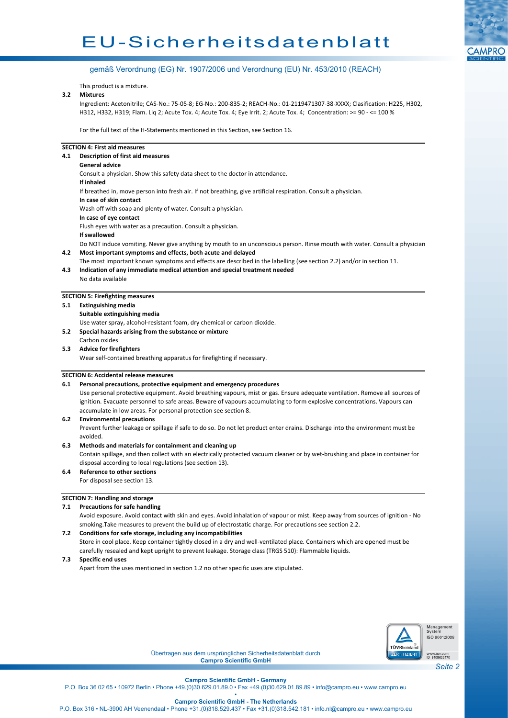# EU-Sicherheitsdatenblatt



### gemäß Verordnung (EG) Nr. 1907/2006 und Verordnung (EU) Nr. 453/2010 (REACH)

This product is a mixture.

#### **3.2 Mixtures**

Ingredient: Acetonitrile; CAS-No.: 75-05-8; EG-No.: 200-835-2; REACH-No.: 01-2119471307-38-XXXX; Clasification: H225, H302, H312, H332, H319; Flam. Liq 2; Acute Tox. 4; Acute Tox. 4; Eye Irrit. 2; Acute Tox. 4; Concentration: >= 90 - <= 100 %

For the full text of the H-Statements mentioned in this Section, see Section 16.

#### **SECTION 4: First aid measures**

- **4.1 Description of first aid measures**
	- **General advice**

Consult a physician. Show this safety data sheet to the doctor in attendance. **If inhaled**

If breathed in, move person into fresh air. If not breathing, give artificial respiration. Consult a physician.

**In case of skin contact**

Wash off with soap and plenty of water. Consult a physician.

**In case of eye contact**

Flush eyes with water as a precaution. Consult a physician.

**If swallowed**

Do NOT induce vomiting. Never give anything by mouth to an unconscious person. Rinse mouth with water. Consult a physician. **4.2 Most important symptoms and effects, both acute and delayed**

The most important known symptoms and effects are described in the labelling (see section 2.2) and/or in section 11.

**4.3 Indication of any immediate medical attention and special treatment needed** No data available

#### **SECTION 5: Firefighting measures**

**5.1 Extinguishing media**

**Suitable extinguishing media**

Use water spray, alcohol-resistant foam, dry chemical or carbon dioxide.

- **5.2 Special hazards arising from the substance or mixture**
- Carbon oxides **5.3 Advice for firefighters**

Wear self-contained breathing apparatus for firefighting if necessary.

#### **SECTION 6: Accidental release measures**

#### **6.1 Personal precautions, protective equipment and emergency procedures**

Use personal protective equipment. Avoid breathing vapours, mist or gas. Ensure adequate ventilation. Remove all sources of ignition. Evacuate personnel to safe areas. Beware of vapours accumulating to form explosive concentrations. Vapours can accumulate in low areas. For personal protection see section 8.

#### **6.2 Environmental precautions**

Prevent further leakage or spillage if safe to do so. Do not let product enter drains. Discharge into the environment must be avoided.

#### **6.3 Methods and materials for containment and cleaning up**

Contain spillage, and then collect with an electrically protected vacuum cleaner or by wet-brushing and place in container for disposal according to local regulations (see section 13).

# **6.4 Reference to other sections**

For disposal see section 13.

# **SECTION 7: Handling and storage**

# **7.1 Precautions for safe handling**

Avoid exposure. Avoid contact with skin and eyes. Avoid inhalation of vapour or mist. Keep away from sources of ignition - No smoking.Take measures to prevent the build up of electrostatic charge. For precautions see section 2.2.

#### **7.2 Conditions for safe storage, including any incompatibilities**

Store in cool place. Keep container tightly closed in a dry and well-ventilated place. Containers which are opened must be carefully resealed and kept upright to prevent leakage. Storage class (TRGS 510): Flammable liquids.

**7.3 Specific end uses**

Apart from the uses mentioned in section 1.2 no other specific uses are stipulated.



Übertragen aus dem ursprünglichen Sicherheitsdatenblatt durch **Campro Scientific GmbH**

# **Campro Scientific GmbH - Germany**

P.O. Box 36 02 65 • 10972 Berlin • Phone +49.(0)30.629.01.89.0 • Fax +49.(0)30.629.01.89.89 • info@campro.eu • www.campro.eu

• **Campro Scientific GmbH - The Netherlands**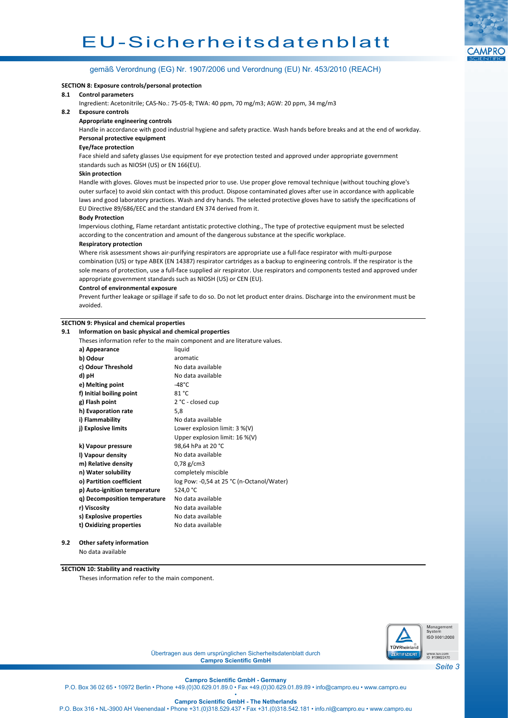

# gemäß Verordnung (EG) Nr. 1907/2006 und Verordnung (EU) Nr. 453/2010 (REACH)

#### **SECTION 8: Exposure controls/personal protection**

#### **8.1 Control parameters**

Ingredient: Acetonitrile; CAS-No.: 75-05-8; TWA: 40 ppm, 70 mg/m3; AGW: 20 ppm, 34 mg/m3

#### **8.2 Exposure controls**

#### **Appropriate engineering controls**

Handle in accordance with good industrial hygiene and safety practice. Wash hands before breaks and at the end of workday. **Personal protective equipment**

#### **Eye/face protection**

Face shield and safety glasses Use equipment for eye protection tested and approved under appropriate government standards such as NIOSH (US) or EN 166(EU).

#### **Skin protection**

Handle with gloves. Gloves must be inspected prior to use. Use proper glove removal technique (without touching glove's outer surface) to avoid skin contact with this product. Dispose contaminated gloves after use in accordance with applicable laws and good laboratory practices. Wash and dry hands. The selected protective gloves have to satisfy the specifications of EU Directive 89/686/EEC and the standard EN 374 derived from it.

#### **Body Protection**

Impervious clothing, Flame retardant antistatic protective clothing., The type of protective equipment must be selected according to the concentration and amount of the dangerous substance at the specific workplace.

#### **Respiratory protection**

Where risk assessment shows air-purifying respirators are appropriate use a full-face respirator with multi-purpose combination (US) or type ABEK (EN 14387) respirator cartridges as a backup to engineering controls. If the respirator is the sole means of protection, use a full-face supplied air respirator. Use respirators and components tested and approved under appropriate government standards such as NIOSH (US) or CEN (EU).

#### **Control of environmental exposure**

Prevent further leakage or spillage if safe to do so. Do not let product enter drains. Discharge into the environment must be avoided.

#### **SECTION 9: Physical and chemical properties**

#### **9.1 Information on basic physical and chemical properties**

| Theses information refer to the main component and are literature values. |  |  |  |  |
|---------------------------------------------------------------------------|--|--|--|--|
| liquid                                                                    |  |  |  |  |
| aromatic                                                                  |  |  |  |  |
| No data available                                                         |  |  |  |  |
| No data available                                                         |  |  |  |  |
| $-48^{\circ}$ C                                                           |  |  |  |  |
| 81 °C                                                                     |  |  |  |  |
| 2 °C - closed cup                                                         |  |  |  |  |
| 5,8                                                                       |  |  |  |  |
| No data available                                                         |  |  |  |  |
| Lower explosion limit: $3\%$ (V)                                          |  |  |  |  |
| Upper explosion limit: 16 %(V)                                            |  |  |  |  |
| 98,64 hPa at 20 °C                                                        |  |  |  |  |
| No data available                                                         |  |  |  |  |
| $0,78 \text{ g/cm}$ 3                                                     |  |  |  |  |
| completely miscible                                                       |  |  |  |  |
| log Pow: -0,54 at 25 °C (n-Octanol/Water)                                 |  |  |  |  |
| 524,0 °C                                                                  |  |  |  |  |
| No data available                                                         |  |  |  |  |
| No data available                                                         |  |  |  |  |
| No data available                                                         |  |  |  |  |
| No data available                                                         |  |  |  |  |
|                                                                           |  |  |  |  |

**9.2 Other safety information**

No data available

#### **SECTION 10: Stability and reactivity**

Theses information refer to the main component.



Übertragen aus dem ursprünglichen Sicherheitsdatenblatt durch **Campro Scientific GmbH**

**Campro Scientific GmbH - Germany**

P.O. Box 36 02 65 • 10972 Berlin • Phone +49.(0)30.629.01.89.0 • Fax +49.(0)30.629.01.89.89 • info@campro.eu • www.campro.eu •

**Campro Scientific GmbH - The Netherlands**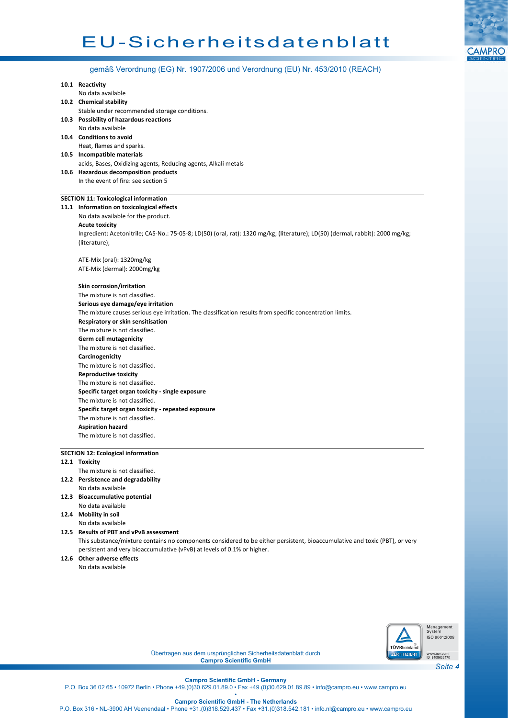

gemäß Verordnung (EG) Nr. 1907/2006 und Verordnung (EU) Nr. 453/2010 (REACH)

| 10.1 Reactivity                                                                                                                |  |  |  |  |
|--------------------------------------------------------------------------------------------------------------------------------|--|--|--|--|
| No data available                                                                                                              |  |  |  |  |
| 10.2 Chemical stability                                                                                                        |  |  |  |  |
| Stable under recommended storage conditions.                                                                                   |  |  |  |  |
| 10.3 Possibility of hazardous reactions                                                                                        |  |  |  |  |
| No data available                                                                                                              |  |  |  |  |
| 10.4 Conditions to avoid                                                                                                       |  |  |  |  |
| Heat, flames and sparks.                                                                                                       |  |  |  |  |
| 10.5 Incompatible materials                                                                                                    |  |  |  |  |
| acids, Bases, Oxidizing agents, Reducing agents, Alkali metals<br>10.6 Hazardous decomposition products                        |  |  |  |  |
| In the event of fire: see section 5                                                                                            |  |  |  |  |
|                                                                                                                                |  |  |  |  |
| <b>SECTION 11: Toxicological information</b>                                                                                   |  |  |  |  |
| 11.1 Information on toxicological effects                                                                                      |  |  |  |  |
| No data available for the product.                                                                                             |  |  |  |  |
| <b>Acute toxicity</b>                                                                                                          |  |  |  |  |
| Ingredient: Acetonitrile; CAS-No.: 75-05-8; LD(50) (oral, rat): 1320 mg/kg; (literature); LD(50) (dermal, rabbit): 2000 mg/kg; |  |  |  |  |
| (literature);                                                                                                                  |  |  |  |  |
| ATE-Mix (oral): 1320mg/kg                                                                                                      |  |  |  |  |
| ATE-Mix (dermal): 2000mg/kg                                                                                                    |  |  |  |  |
|                                                                                                                                |  |  |  |  |
| Skin corrosion/irritation                                                                                                      |  |  |  |  |
| The mixture is not classified.                                                                                                 |  |  |  |  |
| Serious eye damage/eye irritation                                                                                              |  |  |  |  |
| The mixture causes serious eye irritation. The classification results from specific concentration limits.                      |  |  |  |  |
| Respiratory or skin sensitisation                                                                                              |  |  |  |  |
| The mixture is not classified.                                                                                                 |  |  |  |  |
| Germ cell mutagenicity                                                                                                         |  |  |  |  |
| The mixture is not classified.                                                                                                 |  |  |  |  |
| Carcinogenicity                                                                                                                |  |  |  |  |
| The mixture is not classified.                                                                                                 |  |  |  |  |
| <b>Reproductive toxicity</b>                                                                                                   |  |  |  |  |
| The mixture is not classified.                                                                                                 |  |  |  |  |
| Specific target organ toxicity - single exposure                                                                               |  |  |  |  |
| The mixture is not classified.                                                                                                 |  |  |  |  |
| Specific target organ toxicity - repeated exposure                                                                             |  |  |  |  |
| The mixture is not classified.                                                                                                 |  |  |  |  |
| <b>Aspiration hazard</b>                                                                                                       |  |  |  |  |
| The mixture is not classified.                                                                                                 |  |  |  |  |
| <b>SECTION 12: Ecological information</b>                                                                                      |  |  |  |  |
| 12.1 Toxicity                                                                                                                  |  |  |  |  |
| The mixture is not classified.                                                                                                 |  |  |  |  |
| 12.2 Persistence and degradability                                                                                             |  |  |  |  |
| No data available                                                                                                              |  |  |  |  |
| 12.3 Bioaccumulative potential                                                                                                 |  |  |  |  |
| No data available                                                                                                              |  |  |  |  |
| 12.4 Mobility in soil                                                                                                          |  |  |  |  |
| No data available                                                                                                              |  |  |  |  |

**12.5 Results of PBT and vPvB assessment** This substance/mixture contains no components considered to be either persistent, bioaccumulative and toxic (PBT), or very persistent and very bioaccumulative (vPvB) at levels of 0.1% or higher.

**12.6 Other adverse effects**

No data available



Management<br>System<br>ISO 9001:2008

Übertragen aus dem ursprünglichen Sicherheitsdatenblatt durch **Campro Scientific GmbH**

# **Campro Scientific GmbH - Germany**

P.O. Box 36 02 65 • 10972 Berlin • Phone +49.(0)30.629.01.89.0 • Fax +49.(0)30.629.01.89.89 • info@campro.eu • www.campro.eu •

**Campro Scientific GmbH - The Netherlands**